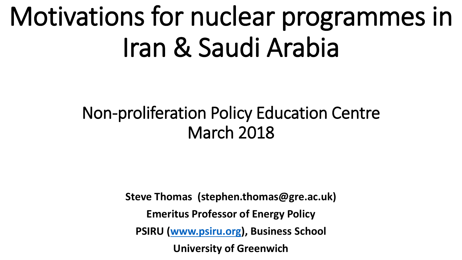# Motivations for nuclear programmes in Iran & Saudi Arabia

#### Non-proliferation Policy Education Centre March 2018

**Steve Thomas (stephen.thomas@gre.ac.uk) Emeritus Professor of Energy Policy PSIRU [\(www.psiru.org\)](http://www.psiru.org/), Business School University of Greenwich**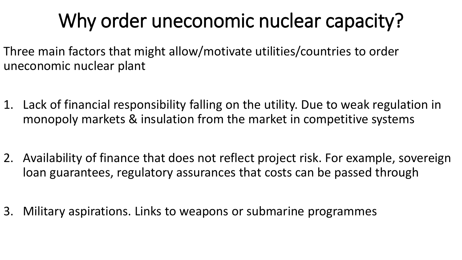## Why order uneconomic nuclear capacity?

- Three main factors that might allow/motivate utilities/countries to order uneconomic nuclear plant
- 1. Lack of financial responsibility falling on the utility. Due to weak regulation in monopoly markets & insulation from the market in competitive systems
- 2. Availability of finance that does not reflect project risk. For example, sovereign loan guarantees, regulatory assurances that costs can be passed through
- 3. Military aspirations. Links to weapons or submarine programmes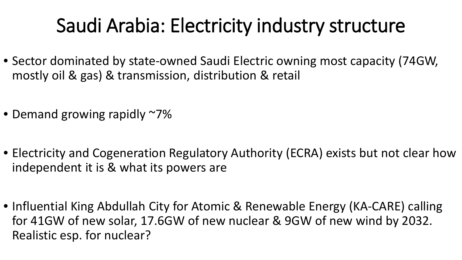### Saudi Arabia: Electricity industry structure

- Sector dominated by state-owned Saudi Electric owning most capacity (74GW, mostly oil & gas) & transmission, distribution & retail
- Demand growing rapidly ~7%
- Electricity and Cogeneration Regulatory Authority (ECRA) exists but not clear how independent it is & what its powers are
- Influential King Abdullah City for Atomic & Renewable Energy (KA-CARE) calling for 41GW of new solar, 17.6GW of new nuclear & 9GW of new wind by 2032. Realistic esp. for nuclear?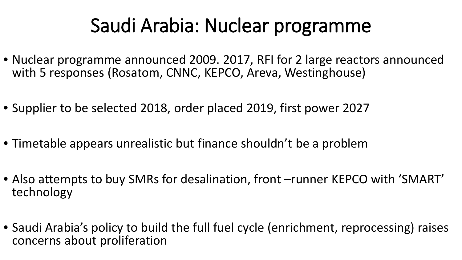### Saudi Arabia: Nuclear programme

- Nuclear programme announced 2009. 2017, RFI for 2 large reactors announced with 5 responses (Rosatom, CNNC, KEPCO, Areva, Westinghouse)
- Supplier to be selected 2018, order placed 2019, first power 2027
- Timetable appears unrealistic but finance shouldn't be a problem
- Also attempts to buy SMRs for desalination, front –runner KEPCO with 'SMART' technology
- Saudi Arabia's policy to build the full fuel cycle (enrichment, reprocessing) raises concerns about proliferation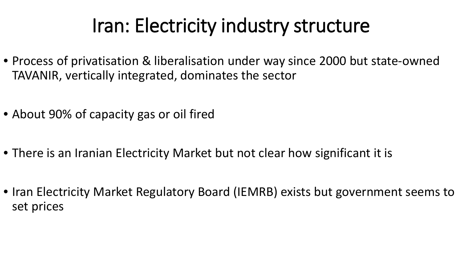#### Iran: Electricity industry structure

- Process of privatisation & liberalisation under way since 2000 but state-owned TAVANIR, vertically integrated, dominates the sector
- About 90% of capacity gas or oil fired
- There is an Iranian Electricity Market but not clear how significant it is
- Iran Electricity Market Regulatory Board (IEMRB) exists but government seems to set prices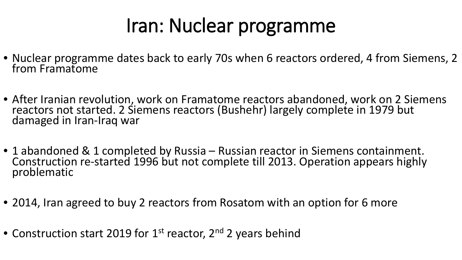#### Iran: Nuclear programme

- Nuclear programme dates back to early 70s when 6 reactors ordered, 4 from Siemens, 2 from Framatome
- After Iranian revolution, work on Framatome reactors abandoned, work on 2 Siemens reactors not started. 2 Siemens reactors (Bushehr) largely complete in 1979 but damaged in Iran-Iraq war
- 1 abandoned & 1 completed by Russia Russian reactor in Siemens containment. Construction re-started 1996 but not complete till 2013. Operation appears highly<br>problematic
- 2014, Iran agreed to buy 2 reactors from Rosatom with an option for 6 more
- Construction start 2019 for 1<sup>st</sup> reactor, 2<sup>nd</sup> 2 years behind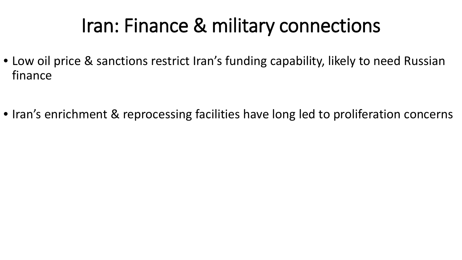### Iran: Finance & military connections

- Low oil price & sanctions restrict Iran's funding capability, likely to need Russian finance
- Iran's enrichment & reprocessing facilities have long led to proliferation concerns